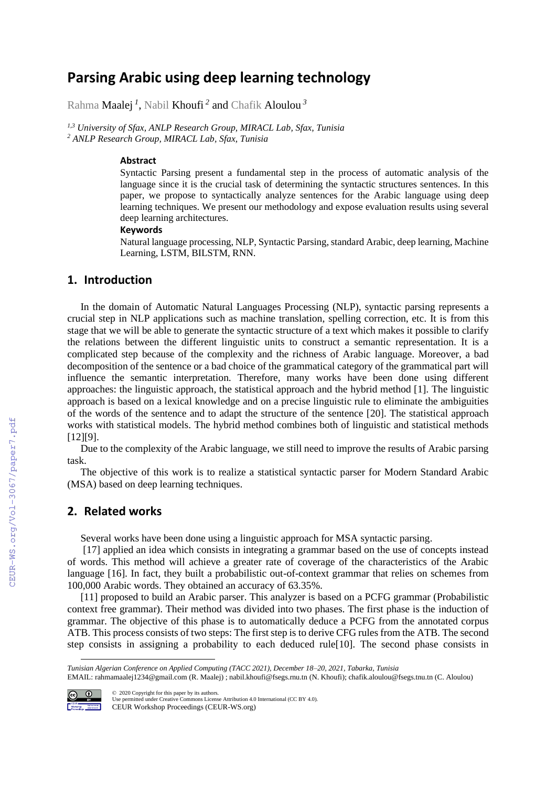# **Parsing Arabic using deep learning technology**

Rahma Maalej *<sup>1</sup>* , Nabil Khoufi *<sup>2</sup>* and Chafik Aloulou *<sup>3</sup>*

*1,3 University of Sfax, ANLP Research Group, MIRACL Lab, Sfax, Tunisia <sup>2</sup> ANLP Research Group, MIRACL Lab, Sfax, Tunisia*

#### **Abstract**

Syntactic Parsing present a fundamental step in the process of automatic analysis of the language since it is the crucial task of determining the syntactic structures sentences. In this paper, we propose to syntactically analyze sentences for the Arabic language using deep learning techniques. We present our methodology and expose evaluation results using several deep learning architectures.

#### **Keywords**

Natural language processing, NLP, Syntactic Parsing, standard Arabic, deep learning, Machine Learning, LSTM, BILSTM, RNN.

#### **1. Introduction**

In the domain of Automatic Natural Languages Processing (NLP), syntactic parsing represents a crucial step in NLP applications such as machine translation, spelling correction, etc. It is from this stage that we will be able to generate the syntactic structure of a text which makes it possible to clarify the relations between the different linguistic units to construct a semantic representation. It is a complicated step because of the complexity and the richness of Arabic language. Moreover, a bad decomposition of the sentence or a bad choice of the grammatical category of the grammatical part will influence the semantic interpretation. Therefore, many works have been done using different approaches: the linguistic approach, the statistical approach and the hybrid method [1]. The linguistic approach is based on a lexical knowledge and on a precise linguistic rule to eliminate the ambiguities of the words of the sentence and to adapt the structure of the sentence [20]. The statistical approach works with statistical models. The hybrid method combines both of linguistic and statistical methods [12][9].

Due to the complexity of the Arabic language, we still need to improve the results of Arabic parsing task.

The objective of this work is to realize a statistical syntactic parser for Modern Standard Arabic (MSA) based on deep learning techniques.

#### **2. Related works**

Several works have been done using a linguistic approach for MSA syntactic parsing.

[17] applied an idea which consists in integrating a grammar based on the use of concepts instead of words. This method will achieve a greater rate of coverage of the characteristics of the Arabic language [16]. In fact, they built a probabilistic out-of-context grammar that relies on schemes from 100,000 Arabic words. They obtained an accuracy of 63.35%.

[11] proposed to build an Arabic parser. This analyzer is based on a PCFG grammar (Probabilistic context free grammar). Their method was divided into two phases. The first phase is the induction of grammar. The objective of this phase is to automatically deduce a PCFG from the annotated corpus ATB. This process consists of two steps: The first step is to derive CFG rules from the ATB. The second step consists in assigning a probability to each deduced rule[10]. The second phase consists in

EMAIL[: rahmamaalej1234@gmail.com](mailto:rahmamaalej1234@gmail.com) (R. Maalej) ; nabil.khoufi@fsegs.rnu.tn (N. Khoufi); chafik.aloulou@fsegs.tnu.tn (C. Aloulou)



©️ 2020 Copyright for this paper by its authors. Use permitted under Creative Commons License Attribution 4.0 International (CC BY 4.0). CEUR Workshop Proceedings (CEUR-WS.org)

*Tunisian Algerian Conference on Applied Computing (TACC 2021), December 18–20, 2021, Tabarka, Tunisia*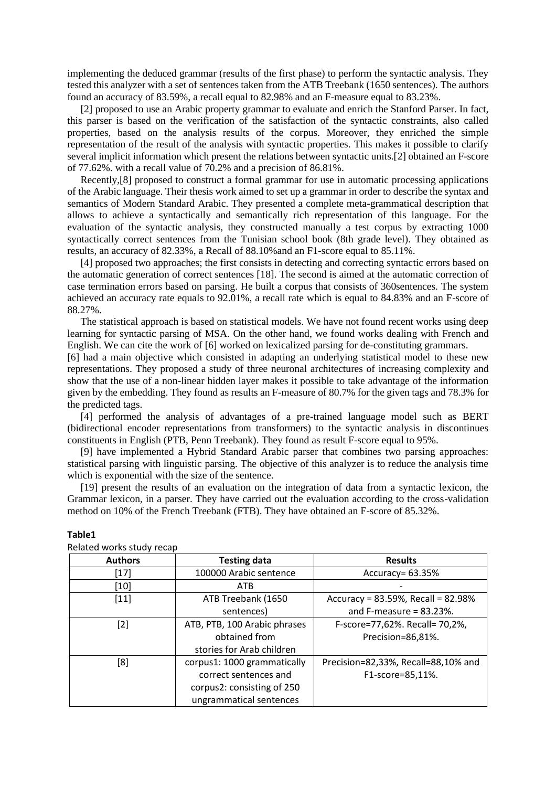implementing the deduced grammar (results of the first phase) to perform the syntactic analysis. They tested this analyzer with a set of sentences taken from the ATB Treebank (1650 sentences). The authors found an accuracy of 83.59%, a recall equal to 82.98% and an F-measure equal to 83.23%.

[2] proposed to use an Arabic property grammar to evaluate and enrich the Stanford Parser. In fact, this parser is based on the verification of the satisfaction of the syntactic constraints, also called properties, based on the analysis results of the corpus. Moreover, they enriched the simple representation of the result of the analysis with syntactic properties. This makes it possible to clarify several implicit information which present the relations between syntactic units.[2] obtained an F-score of 77.62%. with a recall value of 70.2% and a precision of 86.81%.

Recently,[8] proposed to construct a formal grammar for use in automatic processing applications of the Arabic language. Their thesis work aimed to set up a grammar in order to describe the syntax and semantics of Modern Standard Arabic. They presented a complete meta-grammatical description that allows to achieve a syntactically and semantically rich representation of this language. For the evaluation of the syntactic analysis, they constructed manually a test corpus by extracting 1000 syntactically correct sentences from the Tunisian school book (8th grade level). They obtained as results, an accuracy of 82.33%, a Recall of 88.10%and an F1-score equal to 85.11%.

[4] proposed two approaches; the first consists in detecting and correcting syntactic errors based on the automatic generation of correct sentences [18]. The second is aimed at the automatic correction of case termination errors based on parsing. He built a corpus that consists of 360sentences. The system achieved an accuracy rate equals to 92.01%, a recall rate which is equal to 84.83% and an F-score of 88.27%.

The statistical approach is based on statistical models. We have not found recent works using deep learning for syntactic parsing of MSA. On the other hand, we found works dealing with French and English. We can cite the work of [6] worked on lexicalized parsing for de-constituting grammars.

[6] had a main objective which consisted in adapting an underlying statistical model to these new representations. They proposed a study of three neuronal architectures of increasing complexity and show that the use of a non-linear hidden layer makes it possible to take advantage of the information given by the embedding. They found as results an F-measure of 80.7% for the given tags and 78.3% for the predicted tags.

[4] performed the analysis of advantages of a pre-trained language model such as BERT (bidirectional encoder representations from transformers) to the syntactic analysis in discontinues constituents in English (PTB, Penn Treebank). They found as result F-score equal to 95%.

[9] have implemented a Hybrid Standard Arabic parser that combines two parsing approaches: statistical parsing with linguistic parsing. The objective of this analyzer is to reduce the analysis time which is exponential with the size of the sentence.

[19] present the results of an evaluation on the integration of data from a syntactic lexicon, the Grammar lexicon, in a parser. They have carried out the evaluation according to the cross-validation method on 10% of the French Treebank (FTB). They have obtained an F-score of 85.32%.

| <b>Authors</b> | <b>Testing data</b>          | <b>Results</b>                      |  |
|----------------|------------------------------|-------------------------------------|--|
| [17]           | 100000 Arabic sentence       | Accuracy= 63.35%                    |  |
| [10]           | <b>ATB</b>                   |                                     |  |
| $[11]$         | ATB Treebank (1650           | Accuracy = 83.59%, Recall = 82.98%  |  |
|                | sentences)                   | and F-measure $= 83.23\%$ .         |  |
| [2]            | ATB, PTB, 100 Arabic phrases | F-score=77,62%. Recall= 70,2%,      |  |
|                | obtained from                | Precision=86,81%.                   |  |
|                | stories for Arab children    |                                     |  |
| [8]            | corpus1: 1000 grammatically  | Precision=82,33%, Recall=88,10% and |  |
|                | correct sentences and        | F1-score=85,11%.                    |  |
|                | corpus2: consisting of 250   |                                     |  |
|                | ungrammatical sentences      |                                     |  |

#### **Table1**

Related works study recap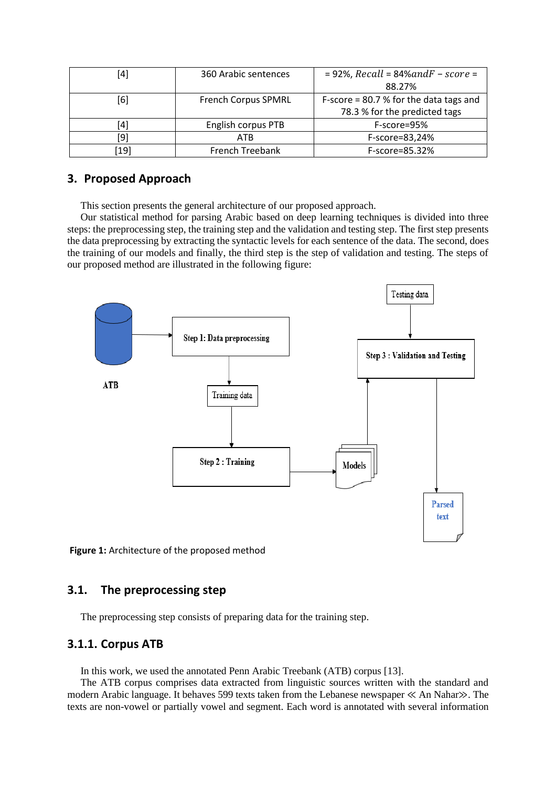| [4]  | 360 Arabic sentences       | $= 92\%$ , Recall = 84% and F - score =  |  |
|------|----------------------------|------------------------------------------|--|
|      |                            | 88.27%                                   |  |
| [6]  | <b>French Corpus SPMRL</b> | F-score = $80.7$ % for the data tags and |  |
|      |                            | 78.3 % for the predicted tags            |  |
| [4]  | English corpus PTB         | F-score=95%                              |  |
| [9]  | <b>ATB</b>                 | F-score=83,24%                           |  |
| [19] | French Treebank            | F-score=85.32%                           |  |

# **3. Proposed Approach**

This section presents the general architecture of our proposed approach.

Our statistical method for parsing Arabic based on deep learning techniques is divided into three steps: the preprocessing step, the training step and the validation and testing step. The first step presents the data preprocessing by extracting the syntactic levels for each sentence of the data. The second, does the training of our models and finally, the third step is the step of validation and testing. The steps of our proposed method are illustrated in the following figure:



**Figure 1:** Architecture of the proposed method

# **3.1. The preprocessing step**

The preprocessing step consists of preparing data for the training step.

### **3.1.1. Corpus ATB**

In this work, we used the annotated Penn Arabic Treebank (ATB) corpus [13].

The ATB corpus comprises data extracted from linguistic sources written with the standard and modern Arabic language. It behaves 599 texts taken from the Lebanese newspaper ≪ An Nahar≫. The texts are non-vowel or partially vowel and segment. Each word is annotated with several information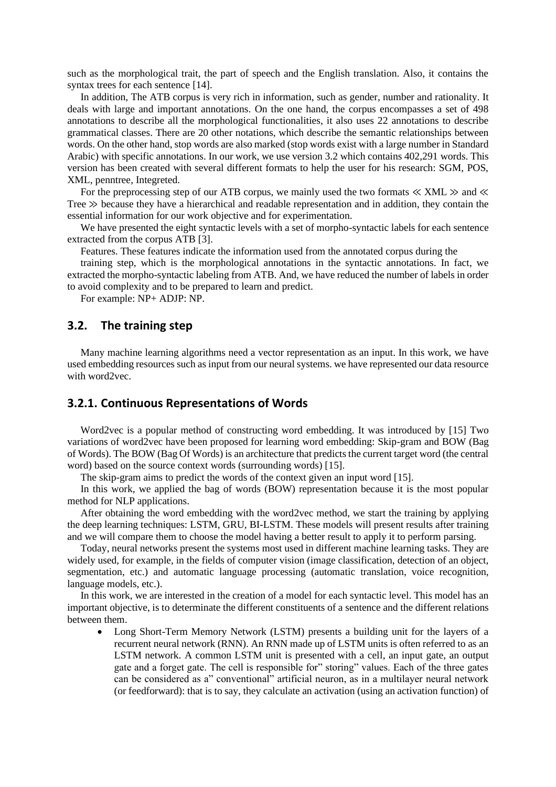such as the morphological trait, the part of speech and the English translation. Also, it contains the syntax trees for each sentence [14].

In addition, The ATB corpus is very rich in information, such as gender, number and rationality. It deals with large and important annotations. On the one hand, the corpus encompasses a set of 498 annotations to describe all the morphological functionalities, it also uses 22 annotations to describe grammatical classes. There are 20 other notations, which describe the semantic relationships between words. On the other hand, stop words are also marked (stop words exist with a large number in Standard Arabic) with specific annotations. In our work, we use version 3.2 which contains 402,291 words. This version has been created with several different formats to help the user for his research: SGM, POS, XML, penntree, Integreted.

For the preprocessing step of our ATB corpus, we mainly used the two formats  $\ll$  XML  $\gg$  and  $\ll$ Tree  $\gg$  because they have a hierarchical and readable representation and in addition, they contain the essential information for our work objective and for experimentation.

We have presented the eight syntactic levels with a set of morpho-syntactic labels for each sentence extracted from the corpus ATB [3].

Features. These features indicate the information used from the annotated corpus during the

training step, which is the morphological annotations in the syntactic annotations. In fact, we extracted the morpho-syntactic labeling from ATB. And, we have reduced the number of labels in order to avoid complexity and to be prepared to learn and predict.

For example: NP+ ADJP: NP.

### **3.2. The training step**

Many machine learning algorithms need a vector representation as an input. In this work, we have used embedding resources such as input from our neural systems. we have represented our data resource with word2vec.

#### **3.2.1. Continuous Representations of Words**

Word2vec is a popular method of constructing word embedding. It was introduced by [15] Two variations of word2vec have been proposed for learning word embedding: Skip-gram and BOW (Bag of Words). The BOW (Bag Of Words) is an architecture that predicts the current target word (the central word) based on the source context words (surrounding words) [15].

The skip-gram aims to predict the words of the context given an input word [15].

In this work, we applied the bag of words (BOW) representation because it is the most popular method for NLP applications.

After obtaining the word embedding with the word2vec method, we start the training by applying the deep learning techniques: LSTM, GRU, BI-LSTM. These models will present results after training and we will compare them to choose the model having a better result to apply it to perform parsing.

Today, neural networks present the systems most used in different machine learning tasks. They are widely used, for example, in the fields of computer vision (image classification, detection of an object, segmentation, etc.) and automatic language processing (automatic translation, voice recognition, language models, etc.).

In this work, we are interested in the creation of a model for each syntactic level. This model has an important objective, is to determinate the different constituents of a sentence and the different relations between them.

• Long Short-Term Memory Network (LSTM) presents a building unit for the layers of a recurrent neural network (RNN). An RNN made up of LSTM units is often referred to as an LSTM network. A common LSTM unit is presented with a cell, an input gate, an output gate and a forget gate. The cell is responsible for" storing" values. Each of the three gates can be considered as a" conventional" artificial neuron, as in a multilayer neural network (or feedforward): that is to say, they calculate an activation (using an activation function) of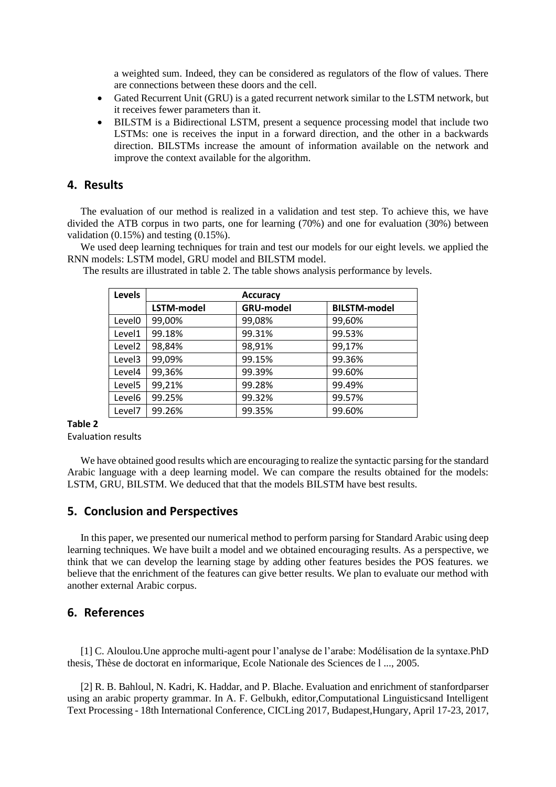a weighted sum. Indeed, they can be considered as regulators of the flow of values. There are connections between these doors and the cell.

- Gated Recurrent Unit (GRU) is a gated recurrent network similar to the LSTM network, but it receives fewer parameters than it.
- BILSTM is a Bidirectional LSTM, present a sequence processing model that include two LSTMs: one is receives the input in a forward direction, and the other in a backwards direction. BILSTMs increase the amount of information available on the network and improve the context available for the algorithm.

#### **4. Results**

The evaluation of our method is realized in a validation and test step. To achieve this, we have divided the ATB corpus in two parts, one for learning (70%) and one for evaluation (30%) between validation (0.15%) and testing (0.15%).

We used deep learning techniques for train and test our models for our eight levels. we applied the RNN models: LSTM model, GRU model and BILSTM model.

| <b>Levels</b>      | <b>Accuracy</b> |                  |                     |  |  |
|--------------------|-----------------|------------------|---------------------|--|--|
|                    | LSTM-model      | <b>GRU-model</b> | <b>BILSTM-model</b> |  |  |
| Level <sub>0</sub> | 99,00%          | 99,08%           | 99,60%              |  |  |
| Level1             | 99.18%          | 99.31%           | 99.53%              |  |  |
| Level <sub>2</sub> | 98,84%          | 98,91%           | 99,17%              |  |  |
| Level3             | 99,09%          | 99.15%           | 99.36%              |  |  |
| Level4             | 99,36%          | 99.39%           | 99.60%              |  |  |
| Level <sub>5</sub> | 99,21%          | 99.28%           | 99.49%              |  |  |
| Level <sub>6</sub> | 99.25%          | 99.32%           | 99.57%              |  |  |
| Level7             | 99.26%          | 99.35%           | 99.60%              |  |  |

The results are illustrated in table 2. The table shows analysis performance by levels.

#### **Table 2**

Evaluation results

We have obtained good results which are encouraging to realize the syntactic parsing for the standard Arabic language with a deep learning model. We can compare the results obtained for the models: LSTM, GRU, BILSTM. We deduced that that the models BILSTM have best results.

#### **5. Conclusion and Perspectives**

In this paper, we presented our numerical method to perform parsing for Standard Arabic using deep learning techniques. We have built a model and we obtained encouraging results. As a perspective, we think that we can develop the learning stage by adding other features besides the POS features. we believe that the enrichment of the features can give better results. We plan to evaluate our method with another external Arabic corpus.

## **6. References**

[1] C. Aloulou.Une approche multi-agent pour l'analyse de l'arabe: Modélisation de la syntaxe.PhD thesis, Thèse de doctorat en informarique, Ecole Nationale des Sciences de l ..., 2005.

[2] R. B. Bahloul, N. Kadri, K. Haddar, and P. Blache. Evaluation and enrichment of stanfordparser using an arabic property grammar. In A. F. Gelbukh, editor,Computational Linguisticsand Intelligent Text Processing - 18th International Conference, CICLing 2017, Budapest,Hungary, April 17-23, 2017,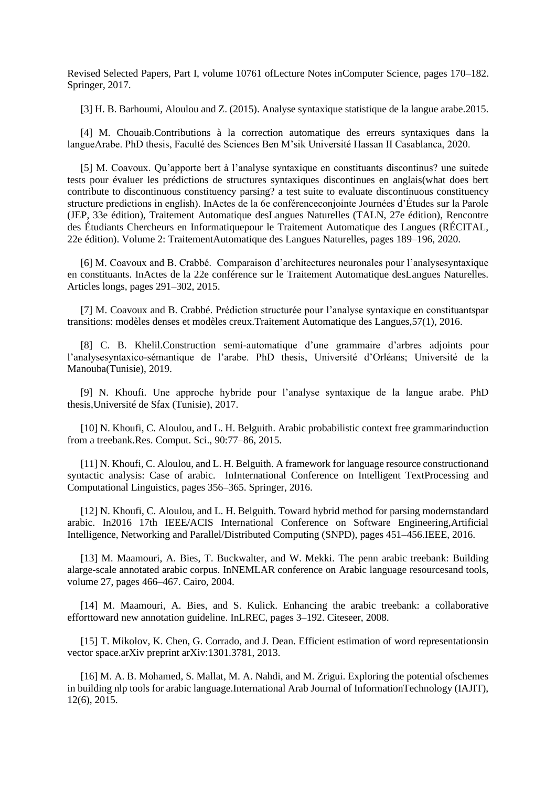Revised Selected Papers, Part I, volume 10761 ofLecture Notes inComputer Science, pages 170–182. Springer, 2017.

[3] H. B. Barhoumi, Aloulou and Z. (2015). Analyse syntaxique statistique de la langue arabe.2015.

[4] M. Chouaib.Contributions à la correction automatique des erreurs syntaxiques dans la langueArabe. PhD thesis, Faculté des Sciences Ben M'sik Université Hassan II Casablanca, 2020.

[5] M. Coavoux. Qu'apporte bert à l'analyse syntaxique en constituants discontinus? une suitede tests pour évaluer les prédictions de structures syntaxiques discontinues en anglais(what does bert contribute to discontinuous constituency parsing? a test suite to evaluate discontinuous constituency structure predictions in english). InActes de la 6e conférenceconjointe Journées d'Études sur la Parole (JEP, 33e édition), Traitement Automatique desLangues Naturelles (TALN, 27e édition), Rencontre des Étudiants Chercheurs en Informatiquepour le Traitement Automatique des Langues (RÉCITAL, 22e édition). Volume 2: TraitementAutomatique des Langues Naturelles, pages 189–196, 2020.

[6] M. Coavoux and B. Crabbé. Comparaison d'architectures neuronales pour l'analysesyntaxique en constituants. InActes de la 22e conférence sur le Traitement Automatique desLangues Naturelles. Articles longs, pages 291–302, 2015.

[7] M. Coavoux and B. Crabbé. Prédiction structurée pour l'analyse syntaxique en constituantspar transitions: modèles denses et modèles creux.Traitement Automatique des Langues,57(1), 2016.

[8] C. B. Khelil.Construction semi-automatique d'une grammaire d'arbres adjoints pour l'analysesyntaxico-sémantique de l'arabe. PhD thesis, Université d'Orléans; Université de la Manouba(Tunisie), 2019.

[9] N. Khoufi. Une approche hybride pour l'analyse syntaxique de la langue arabe. PhD thesis,Université de Sfax (Tunisie), 2017.

[10] N. Khoufi, C. Aloulou, and L. H. Belguith. Arabic probabilistic context free grammarinduction from a treebank.Res. Comput. Sci., 90:77–86, 2015.

[11] N. Khoufi, C. Aloulou, and L. H. Belguith. A framework for language resource constructionand syntactic analysis: Case of arabic. InInternational Conference on Intelligent TextProcessing and Computational Linguistics, pages 356–365. Springer, 2016.

[12] N. Khoufi, C. Aloulou, and L. H. Belguith. Toward hybrid method for parsing modernstandard arabic. In2016 17th IEEE/ACIS International Conference on Software Engineering,Artificial Intelligence, Networking and Parallel/Distributed Computing (SNPD), pages 451–456.IEEE, 2016.

[13] M. Maamouri, A. Bies, T. Buckwalter, and W. Mekki. The penn arabic treebank: Building alarge-scale annotated arabic corpus. InNEMLAR conference on Arabic language resourcesand tools, volume 27, pages 466–467. Cairo, 2004.

[14] M. Maamouri, A. Bies, and S. Kulick. Enhancing the arabic treebank: a collaborative efforttoward new annotation guideline. InLREC, pages 3–192. Citeseer, 2008.

[15] T. Mikolov, K. Chen, G. Corrado, and J. Dean. Efficient estimation of word representationsin vector space.arXiv preprint arXiv:1301.3781, 2013.

[16] M. A. B. Mohamed, S. Mallat, M. A. Nahdi, and M. Zrigui. Exploring the potential ofschemes in building nlp tools for arabic language.International Arab Journal of InformationTechnology (IAJIT), 12(6), 2015.